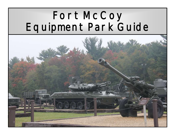# Fort McCoy Equipment Park Guide

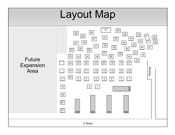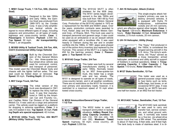## **1. M561 Cargo Truck, 1 1/4-Ton, 6X6, (Gamma Goat)**



Designed in the late 1950s and early 1960s, the Gamma Goat was produced from 1969-1973 by the Condec Corp. It was a fully amphibious tactical vehicle de-

signed to move different types of cargo, including weapons and ammunition, on all types of roads, highways and cross-country terrain. **Crew:** 2. **Passengers:** 8 Soldiers. **Payload:** 2,500 lbs. **Top Speed:** 50 mph. **Air transportability:**  Phase 1, air droppable.

## **2. M1009 Utility & Tactical Truck, 3/4-Ton, 4X4, CUCV (Commercial Utility Cargo Vehicle)**



Built by the Chevrolet Division of the General Motors Co., this three-quarter-ton, four-wheel-drive vehicle was used for command, control, and transport of personnel.

This model used the Chevrolet Blazer body and chassis with the lighter half-ton axles. The rear seat could be folded down or removed. **Top Speed:** 55 mph. **Fording Depth**: 20 inches.

# **3. M37 Cargo Truck, 3/4-Ton**



The initial version of this truck was developed in 1941 to replace the Army half-ton truck. It was first manufactured in 1945 by the American Car and Foundry Co.,

and Cadillac Motor Car Division of the General Motors Co. It was used as a cargo and personnel carrier. The vehicle could be rigged on a platform for dropping in airborne operations. **Crew:** 3 in cab; 6-8 seated in box. **Top Speed:** 35 mph. **Fording Depth w/o special equipment:** 42 inches.

**4. M151A2 Utility Truck, 1/4-Ton, 4X4 MUTT (Military Utility Tactical Truck)** 



The M151A2 MUTT is often mistaken for the M38 Jeep. The M151 series began development in the late 1950s and was built from 1961-69 by Ford and American Motors General

Corp. Production of the M151A2 started in 1970 as a replacement for the M38 and M38A1 jeeps. Over the years, production contracts were awarded to Ford, Kaiser Jeep and the American Motors General Corp., of Wayne, Mich. This truck was used to transport personnel and general cargo. It also could be used as an ambulance or as an assault vehicle when equipped with a recoilless rifle. It was used heavily in Vietnam during the war and in smaller conflicts into the 1980s. In 1987, jeeps were phased out of the active Army inventory and replaced by the Humvee. This version of the MUTT is a ragtop (See #32 for the hard-top version). **Crew**: 2. **Passengers:** 2. **Top Speed:** 66 mph.

# **5. M101A2 Cargo Trailer, 3/4-Ton**



This trailer was built by several manufacturers starting in the early 1950s. Normally towed by an M37 three-quarter-ton truck, this trailer has a single axle and two wheels. The

M101 is designed to operate on all types of roads, cross-country terrain, and in all weather conditions. There are no restrictions on the M101 for movement over primary and secondary roads; however, it is restricted to a maximum speed of 15 mph when towed cross-country.

## **6. M332 Ammunition/General Cargo Trailer, 1 1/2-Ton**



The M332 trailer is used to transport ammunition in tactical situations. **Artillery Round Carrying Capacity (number):** 8 inch (12), 155 mm (24), 105 mm (50). **Maximum Towed** 

**Speed:** highway, 50 mph; cross country, 25 mph. **Payload:** 3,000 lbs.

## **7. AH-1S Helicopter, Attack (Cobra)**



This single-engine attack helicopter's primary use was to destroy armored vehicles. It is equipped with Hydra 70 multipurpose submachine rockets and 20 mm cannons,

which are effective against other targets. **Crew:** 2. **Top Speed:** 129 knots. **Maximum Endurance:** 4 hours. **Rotor Diameter:** 44 feet. **Armament:** TOW missiles, 2.75-inch rockets, 20 mm cannon.

#### **8. UH-1H Helicopter, Utility (Huey)**



The "Huey," first produced in the 1950s, is considered the longest-serving aircraft in the U.S. Army. The Army's workhorse, the "Huey" served as a troop transporter, armed

helicopter, ambulance and utility aircraft in support of Soldiers in combat operations. **Crew:** 3. **Troopcarrying Capacity:** 8. **Litter Capacity:** 2. **Top Speed:** 110 knots. **Rotor Diameter:** 48 feet.

#### **9. M127 Stake Semitrailer, 12-Ton**



This trailer was used as a general-purpose cargo trailer to haul items such as tents, duffle bags, tool boxes, or an occasional M151 jeep. It was towed by an M275 two-and-

one-half-ton tractor, or an M52 five-ton tractor.

#### **10. M131A5C Tanker, Semitrailer, Fuel, 12-Ton**



The M131A5C tank semitrailer was used to carry and transfer fuel, service containers, and refuel ground vehicles. It normally was towed by a five-ton, six-wheel-drive

tractor truck that has a fifth wheel. The semitrailer is about 31-feet long, 8-feet wide, and 9-feet high. The tank body is made of stainless steel. It is di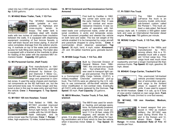vided into two 2,500-gallon compartments. **Capacity:** 5,000 gallons.

# **11. M149A2 Water Trailer, Tank, 1 1/2-Ton**



The M149A2 transported water (potable or nonpotable) on highways and cross-country terrain to troops. The water tank is stainless steel with double

walls with two inches of urethane-foam insulation between the walls. It is equipped with dispensing equipment consisting of four bronze faucets, a rear self-drain faucet and brass piping. A shut-off valve completes drainage from the exterior plumbing. A manhole on top of the water tank provides access for bulk filling and cleaning. The trailer also is equipped with a bracket at the manhole to allow for heating of the water with the standard M67 immersion heater. **Capacity:** 400 gallons.

# **12. M3 Personnel Carrier, (Half-Track)**



First manufactured in 1941 by White Motor Co., and later produced by Autocar Co., and Diamond T Motor Co., the M3 was used to transport cargo and personnel in com-

bat zones. It used the same chassis and mechanical components as the M2 half-track car, but the rear-armored body was 10 inches longer and featured a door in the rear to ease entry and exit from the vehicle. **Crew:** 3. **Passengers:** 6. **Top Speed:**  45 mph.

## **13. M119A1 105 mm Howitzer, Towed**



First fielded in 1989, the M119A1 provided improved artillery fire support for the Army's light forces. It was air mobile with the UH-60 Blackhawk helicopter, and its

prime mover was the Humvee. **Crew:** 7. **Range:** 7 miles, high-explosive; 12 miles, rocket-launched.

## **14. M114 Command and Reconnaissance Carrier, Armored**



First built by Cadillac in 1962, this carrier saw some use in the early Vietnam War. It was used for combat and reconnaissance missions. It was capable of operation with full-

rated loads over unimproved roads, under all seasonal conditions in arctic and temperate zones. Track movement propelled and steered the vehicle on both land and water. The low net weight of the vehicle enabled it to be transported by cargo aircraft and parachute dropped to using forces. **Crew:** 4 (commander, driver, observer, passenger). **Top Speed:** 36 mph, land; 4 mph, water. **Armament: .**30- and .50-caliber machine guns; grenade launcher.

#### **15. M1008 Cargo Truck, 1 1/4-Ton, 4X4**



Built by Chevrolet Division of General Motors from 1984- 1987, this one-and-one-quarter -ton, four-wheel-drive truck was used to transport light cargo and personnel. The M-1008

is a Commercial Utility Cargo Vehicle, (CUCV), a military-modified Chevrolet commercial pick-up truck. The CUCVs were an attempt by the U.S. military to use commercial, off-the-shelf vehicles with minor modification in non-combat roles. Eventually all CUCV units where replaced by the Humvee. **Top Speed:** 55 mph. **Fuel Capacity:** 20 gallons.

## **16. M819 Wrecker, Tractor Truck, 5-Ton, 6x6, w/winch**



The M819 was used for wrecker, hauling, and salvage operations. Its hydraulically-powered, engine-driven crane could extend 11.5 to 26 feet, rotate 270 degrees, and elevate 45 de-

grees. It is also equipped with a fifth wheel for hauling semitrailers and a front winch to free the vehicle when it becomes mired. **Crew:** 2. **Top Speed:** 45 mph.

## **17. PI-75501 Fire Truck**



The 1964 American LaFrance fire truck is an economy model, entry-level, cab-forward custom called the Pioneer I. This truck utilized a slab-sided, flat-faced

canopy style cab. It contains a 500-gallon water tank and uses an International Harvester diesel engine. **Pump rate:** 750 gallons per minute.

## **18. M35A2 Cargo Truck, 2 1/2-Ton, 6X6, Typical**



Designed in the 1950s and manufactured by REO, among others, this is a 10 wheeled truck with a standard 12-foot cargo box. This cargo truck was much more

roadworthy and had a longer mechanical life than previous trucks. **Top Speed:** 60 mph, gasoline; 56 mph, diesel.

# **19. M548A1 Cargo Carrier, Tracked 6-Ton**



This unarmored full-tracked vehicle provided transportation of ammunition and general cargo to the forward areas in support of field units. It was used to support

the M109 Howitzer. **Crew:** 4 in cab, up to 6 tons of crew and/or material on rear cargo deck. **Fording Depth:** Floats (limited to one-foot waves).

# **20. M114A2, 155 mm Howitzer, Medium, Towed**



A towed weapon first produced in 1942 as medium artillery, the M114A2 was used during World War II, and in the Korean and Vietnam Wars. **Crew:** 11.

**Range:** 14 miles. **Sustained Rate of Fire**: 40 rounds per hour.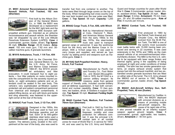**21. M551 Armored Reconnaissance Airborne Assault Vehicle, Full Tracked, 152 mm (Sheridan)**



First built by the Allison Division of the General Motors Co., in 1966, the M551 was developed as a replacement for the M41 light tank and the airborne M56 Scorpion self-

propelled antitank gun. Intended as an airborne reconnaissance and assault vehicle, the Sheridan was "air droppable" by use of the Low Altitude Parachute Extension System (LAPES). **Crew:** 4 (commander, gunner, loader, driver). **Top Speed:**  45 mph. **Effective Range:** 25-30 meters. **Armament:** 152 mm main gun, 7.62 mm and .50 caliber machine guns, 8 grenade launchers.

#### **22. M1010 Ambulance, Truck, 1 1/4-Ton, 4X4**



Built by the Chevrolet Division, General Motors Co., for the U.S. Army, Air Force, and Marine Corps between 1984-87, the M1010 provided ambulatory and litter

evacuation. It could transport four to eight patients ─ four litter patients on racks mounted inside the compartment for the severely injured patients, or, eight ambulatory patients and an attendant could be seated in the rear body. This vehicle's very sophisticated air-filtration system protected cab and patient compartment personnel from chemical and biological contaminants. A patient-lifting device, an arm with block-and-tackle and sling assembly, was fastened to the upperright corner at the rear of the body.

#### **23. M49A2C Fuel Truck, Tank, 2 1/2-Ton, 6X6**



Designed in the 1950s, this truck was used to haul and discharge gasoline and jet fuel. Each of its 600-gallon stainless steel tanks used a delivery pump and metering

system. The delivery pump, located in the compartment at the rear of the body, also was used to transfer fuel from one container to another. The tanks were filled through large covers on the top of the body. When transporting fuel cross-country only the rear tank located over the rear axles was filled. **Crew:** 3. **Top Speed:** 58 mph. **Capacity:** 1,200 gallons.

#### **24. M54A2 Cargo Truck, 5-Ton, 6X6, with Winch**



Built by International Harvester Corp., Diamond T, Mack, and American Motors General from the early 1950s to the late 1970s, this steel-bodied truck was used to transport

general cargo or personnel. It was the workhorse truck for the Army and the Marine Corps in Vietnam. With a 14-foot cargo box, it was used to carry troops and supplies, and served as "gun trucks" by adding armor and weapons such as machine guns. **Crew:** 2.

#### **25. M110A2 Self-Propelled Howitzer, Heavy, 8-Inch, Full Tracked**



Manufactured by Pacific Car and Foundry Co., Ford Motor Co., and Bowen-McLaughlin-York in 1978, the M110A2 is a cannon artillery weapon. Its missions, aside from general

support of friendly units, included counter-artillery and air-defense suppression. It had both conventional and nuclear capability. **Crew:** 13 (two gunners, two loaders, driver, 8 Soldiers in support vehicle). **Top Speed:** 35 mph. **Maximum Fording Depth:**  42 inches.

#### **26. M4A3 Combat Tank, Medium, Full Tracked, 76mm Gun (Sherman)**



First built in 1942 by Ford Motor Co., the M4A3 provided firepower, mobility and crew protection for offensive combat. It was the principal U.S. combat tank in all combat

zones for most of World War II, in service for 1943- 44, and was used by the U.S. Army and National

Guard and foreign countries for years after World War II. **Crew:** 5 (commander, gunner, loader, driver, assistant driver). **Top Speed:** 25 mph. **Maximum Range:** 9 miles. **Armament:** 76 mm main gun, .30- and .50-caliber machine guns. **Rate of Fire:** 4 rounds per minute.

# **27. M60A3 Combat Tank, Full Tracked, 105 mm Gun**



First produced in 1960 by the Detroit Tank Arsenal and Chrysler Corp., the M60A3 evolved from the M-48 Patton Tank. The M60 is one of the world's most successful

main battle tanks with 15,000 having been produced and serving in 22 countries. It was used extensively in the 1970s and 1980s as the main assault vehicle of an armored/mechanized infantry/infantry division. The M60 is the first U.S. vehicle to be equipped with laser range finders and thermal sights, giving it the capability of being employed at night and under conditions of limited visibility. The tank has two smoke generation systems, an engine exhaust smoke system that sprays fuel into the exhaust manifold, and two sixbarreled smoke grenade launchers that are fitted on either side of the turret. The U.S. Army phased the M60A3 out of service in 1997. **Crew:** 4 (commander, gunner, loader, driver). **Top Speed:**  30 mph.

#### **28. M42A1 Anti-Aircraft Artillery Gun, Self-Propelled, Twin, 40 mm (Duster)**



Manufactured by Cadillac in 1951, the M42A1 deployed with armored divisions as a means of providing mobile anti-aircraft weapons. Because of its rapid rate of fire,

it also proved valuable as an infantry support weapon against ground targets. **Crew:** 6 (commander, gunner, sight-setter, two loaders, driver). **Armament:** 2 - 40 mm guns.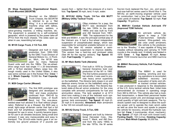#### **29. Shop Equipment, Organizational Repair, Truck-Mounted (SEORTM)**



Mounted on the M944A1 Truck Chassis, the SEORTM is referred to as a "Bat Wing." It is a self-contained machine shop with lathes, drill presses, welders, a

valve-grinding machine, a milling machine, etc. The equipment is powered by a self-contained generator, which is powered by the power take-off (PTO) from the truck chassis. The sides open up when in use, resembling bat wings.

# **30. M135 Cargo Truck, 2 1/2-Ton, 6X6**



Designed and built in mass production from 1950-1955 by the GMC Truck Division of General Motors Co., in Pontiac, Mich., the M135 was used by many National

Guard units well into the 1960s. The six-wheeldrive cargo truck had single 11 x 20 tires/wheels with a 12-foot standard military cargo box. Although mostly used in the United States, it also saw some combat use in the Korean War. **Crew:** 1 or 2. **Winch Capacity:** 10,000 lbs. **Fuel Capacity:**  56 gallons.

## **31. M29 Cargo Carrier (Weasel)**



The first M29 prototype was designed and developed in 1942, and mass production continued from 1942-45 by Studebaker Corp., of South Bend, Ind. The one-piece,

welded-steel hull allowed it to float without preparation. Referred to as a Weasel, the M29 was a small, light-cargo all-terrain carrier that had a full track and full amphibious capabilities. Originally designed for use in snow, it quickly became popular for use in all climates because, being small and compact, it was very maneuverable and easy to transport. The 20-inch-wide tracks gave it an extremely low ground pressure of 2 pounds per

square foot — lighter than the pressure of a man's foot. **Top Speed:** 36 mph, land; 4 mph, water.

## **32. M151A2 Utility Truck, 1/4-Ton 4X4 MUTT (Military Utility Tactical Truck)**



Often mistaken for a jeep, the MUTT was developed from the late 1950s to the early 1960s and was built by Ford and AM General from 1961- 1969. The replacement for the

M38 and M38A1, it was the principal combat jeep of the Vietnam era. It had a four-wheel independent suspension of unsophisticated design, which was responsible for somewhat unstable behavior on corners. The later A2 version adopted a semiindependent rear suspension to improve stability. This version has a hard-top and enclosed sides (See #4 for the rag-top version). **Top Speed:** 66 mph. **Fuel Capacity:** 17 gallons.

#### **33. M1 Main Battle Tank (Abrams)**



First built in 1978 by Chrysler, General Dynamics took over production of the M1 in 1982. The first turbine-powered combat vehicle, it was used to provide heavy armor superiority

on the battlefield. The Abrams tank closes in on and destroys enemy forces on the battlefield using mobility, fire power, and shock effect. The Abrams featured state-of-the-art armor protection for the crew complete with armored compartments for fuel and ammunition stores. The tank weighed in at 67.5 short tons making it one of the heaviest such systems in the world. **Crew Capacity:** 4 (driver, loader, gunner, tank commander). **Top Speed:** 45 mph (0- 20 mph in 6 seconds). **Armament:** Main armament is the 120 mm smooth-bore gun.

# **34. M51A2 Dump Truck, 5-Ton, 6X6**



Designed and built by International Harvester Corp., Diamond T, Mack, and AM General from the early 1950s to the late 1970s, the M series

five-ton truck replaced the four-, six-, and sevenand-one-half-ton series used in World War II. The M51A2, an earth-moving engineer vehicle used for construction, had a box that could hold five cubic yards of material. **Top Speed:** 52 mph. **Fuel Capacity:** 78 gallons.

## **35. M901A1 Combat Vehicle Anti-tank ITV (Improved TOW Vehicle**)



An anti-tank vehicle designed to keep a TOW (Tube-launched, Opticallytracked, Wire-guided) missile crew under armament, this vehicle is the predeces-

sor to the "Bradley." It was capable of firing two missiles without reloading and carrying 10 TOW rounds in the missile rack. It initially was fielded in 1979. **Crew:** 4. **Top Speed:** 40 mph. **Armament:** TOW missile launcher and M60 machine gun.

## **36. M88A1 Recovery Vehicle, Full-Tracked, Medium**



The M88A1 is used for hoisting, winching and towing operations to accomplish battlefield recovery and evacuation of tanks and other tracked combat vehicles.

It was produced in response to the dieselization of the U.S. Army tactical vehicle fleet. Initial trials demonstrated an increase in operating range from 360 to 450 km. This vehicle also had a modified transmission, a diesel-fired personnel heater and auxiliary power unit, and stowage space for a small quantity of light anti-tank weapons. The hydraulic system was re-designed to allow the auxiliary power unit to operate the main winch cable as well as stow the boom and spade to prepare the vehicle for recovery, should the hydraulic system fail. **Crew:** 3 (commander, driver, mechanic). **Top Speed:** 27 mph (18 mph with towed load). **Fording Depth:** 102 inches. **Hoisting Capacity:**  25 tons. **Main Winch Capacity:** 90,000 lbs.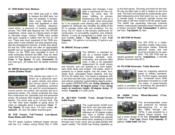## **37. TE95 Battle Tank, Medium**



The TE95 was built in 1958 to replace the M48 tank, but was not adopted. It incorporated many high-tech features that appeared in later tanks, including siliceous-

cored armor, a precursor of modern composite armors. The TE95 also featured the T53 OPTAR rangefinder, which used an intense beam of light to calculate range. Various TE95s were armed with guns ranging in caliber from 90 mm to 120 mm. There was much expected of the TE95 program when it was initiated, but slow progress dogged the development process. It finally was decided that the TE95 would not offer an appreciable benefit over an up-gunned and re-engined M48A2 Patton, so the TE95 was cancelled in favor of what eventually became the M60. Only six were made and this is one of only two still in existence. **Crew:** 4. **Top Speed:** 35 mph. **Armament:** 90 mm main gun, .30-caliber and .50-caliber machine guns.

## **38. XM706 Armored Car, Light 4X4, V-100 Commando (Rubber Duck)**



This vehicle was used in Vietnam as a personnel carrier, patrol vehicle, and police and convoy escort. It was a mobile, amphibious armored car used for reconnaissance,

convoy escort, riot control, and security and as a personnel carrier. The vehicle protected the crew from small-arms fire, grenades and anti-personnel mines. All surfaces were angled for maximum deflection. The armor was up to 1/4-inch thick. The "run flat" tires were capable of going about 30 miles on sidewalls alone if punctured. **Crew:** 11. **Top Speed:** 62 mph land; 3.5 mph, water. **Armament:** .30- and .50-caliber machine guns.

# **39. D7E Tractor, Full-Tracked, Low-Speed, Dozer Blade with Winch**

The D7 series medium bulldozer began service with the U.S. military during World War II. With



upgrades and changes, it has been a workhorse for the U.S. Military for more than 50 years, fulfilling its primary earthmoving role as well as a host of other roles discovered

for it, for example mine clearing with a special flail adapter kit. Although very versatile, the ability of the D7 to operate varies with soil conditions. For the Army, the D7 dozer is the primary earthmover for construction of survivability positions and antitank ditches. It must be transported by trailer due to its poor mobility. **Crew:** 1. **Top Speed:** 5 mph. **Fuel Capacity:** 116 gallons (consumes 10 gallons per hour.)

## **40. MW24C Scoop Loader**



The MW24C is intended for use as a bucket loader for long-range stockpile work, excavating, and general utility work. It also is an expedient replacement for small cranes

and shovels, and can operate as a front loader, clam shell, dozer and scraper. The loader, which is powered by a diesel engine, has two axles, fourwheel drive, articulated frame steering, and four 20.5 by 25 rubber tires. The loader is equipped with a two-and-one-half-cubic yard multipurpose bucket and rollover protection system/falling objects protection system (ROPS/FOPS) cab. **Dump clearance at maximum height, 45-degree dump:** 9 feet. **Dump reach at maximum height, 45-degree dump:** 37 inches. **Capacity:** 2.5 cubic yards.

## **41. MLT-6CH Forklift, Truck, Rough-Terrain, 6,000 Pound**



The rough-terrain forklift truck has front- and rear-axle steering, which enables it to move sideways at 20-degree angles and have a shorter turning radius. The forklift can operate

in two-wheel or four-wheel drive, enabling it to travel through mud, snow, sand, and up steep grades with equal mobility. The forklift has fording capability up

to five-foot waves. The body and forks for the forklift may be tilted right or left in relation to the front axle. The forks are extended by hydraulically operated telescoping arms that reach out, up, or down to handle loads. A hydraulic cylinder moves the forks right or left from center to lift off-center loads. The forklift has expanding tube-type hydraulic brakes, hydraulically operated power steering, and a torque converter. **Fuel Consumption:** 8 gallons per hour. **Top Speed:** 25 mph.

## **42. 200 STM Oil Heater**



The 200 STM is a trailermounted, mobile, heavy-duty, high-output heater. External electrical power and fuel must be provided for its operation. The 200 STM has an

electric-powered burner. **Output/hour:** 2,100,000 (British Thermal Units) BTU.

# **43. PU-619M Generator, Trailer Mounted**



Used for supplying electrical power to military operators, the PU-619 engine operates two, 10-kilowatt hours (KW) generators mounted on a half -ton trailer. A power-transfer

switch is provided for connecting the generator's output to a common load. **Fuel:** Gasoline

#### **44. H446A Crane, Wheel-Mounted, 5-Ton, Rough-Terrain**



This air-transportable crane was produced by Hanson Manufacturing Co., in the late 1960s through mid-1970s. It was powered by a Detroit Diesel engine, and

had a boom length of 25 feet. **Governed Speed:**  2,800 rpm. **Fuel Type:** Diesel. **Fuel Capacity:** 50 gallons. **Cable hoist:** 206 feet.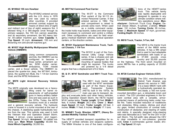#### **45. M109A2 155 mm Howitzer**



The M109A2 entered service with the U.S. Army in 1976 and was used by various other countries. It provided armored combat support by means of direct (line of sight)

and indirect (out of line of sight) weapons fire. It allowed firing in a 360-degree circle through its primary weapon, the 155 mm cannon assembly, and its secondary armament, the M2 heavy barrel .50-caliber machine gun. **Crew Capacity:** 6. **Top Speed:** 35 mph. **Armament:** 155 mm and Browning mm anti-aircraft machine gun.

## **46. M1037 High Mobility Multipurpose Wheeled Vehicle (HMMWV)**



Using common components and kits, the HMMWV can be configured to become a troop carrier, armament carrier, S250 shelter carrier, ambulance, TOW missile

carrier, and a Scout vehicle. The HMMWV replaced the quarter-ton Jeep, the M718A1 Ambulance, the quarter-ton Mule, the 1 1/4-ton Gamma Goat, and the M792 Ambulance.

## **47. M578 Light Armored Recovery Vehicle (VTR)**





lifting crane for barrel replacements of self-propelled guns in heavy-artillery battalions and was used as such in the 1970s. Today, the M578 functions more as a wrecker

and a general recovery vehicle. The hydraulic crane is housed in a turret mounted at the rear of the chassis. A stabilizing spade hydraulically lowers from the rear. This vehicle was used in both the Vietnam War and Operation Desert Storm. **Crew:** 3 (driver, crane operator, and rigger). **Top Speed:** 34 mph. **Armament:** .50-caliber machine gun. **Main Winch Capability:** 60,000 lbs. **Hoist Winch Capability:** 30,000 lbs.

## **48. M577A2 Command Post Carrier**



The M-577 is the Command Post variant of the M-113 Armored Personnel Carrier. It first entered service in 1962. The rear compartment is raised to provide extra room. When used as a mobile command center,

the inside holds map boards, radios and other equipment necessary to command and control a military unit. Other configurations are used for field emergency medical treatment vehicles, tactical operation centers, or fire direction centers.

# **49. M1031 Equipment Maintenance Truck, Tactical Chassis, 1 1/4-Ton**



The M1031 is part of the Commercial Utility Cargo Vehicle series. It has a chassis and cab combination, designed for the mounting of special bodies that might be required. The trucks are powered by a V-8 diesel

engine that has a displacement of 6.2 liters.

#### **50. & 51. M747 Semitrailer and M911 Truck Tractor**



The M911 truck tractor was used with the M747 semitrailer as part of the Heavy Equipment Transporter System (HETS) built in the 1970s. Its main use was to transport, de-

ploy and evacuate tanks and other heavy vehicles. During Operation Desert Storm, the HETS hauled M1A1 series tanks. **Tractor Length:** 30 feet. **Width:** 9 feet, 6 inches. **Weight:** 26.3 tons. **Crew:** 2. **Maximum Speed:** 43 mph. **Trailer Length:** 48 feet, 3 inches. **Width:** 11 feet, 6 inches. **Weight:** 17.1 tons.

## **52. M984E1 Truck, Wrecker, HEMTT, (Heavy Expanded Mobility Tactical Truck)**

The HEMTT provided transport capabilities for resupply of combat vehicles and weapons systems. The M984 Wrecker is one of five basic configura-



tions of the HEMTT-series truck. This vehicle family was rapidly deployable and designed to operate in any climate condition where military operations occur. **Man-**

**ufacturer:** Oshkosh Truck Corp. **Engine:** Detroit Diesel Allison, 8-cylinder, 2-stroke. **Wheelbase:** 191 inches. **Turning Circle:** 95 inches. **Crew:** 2. **Maximum Speed:** 57 mph, governed. **Fording Depth:** 48 inches.

# **53. M818 Truck, Tractor, 5-Ton, 6x6**



The M818 is the tractor truck variant of the M809 series vehicles. It has a fifth wheel that is used to haul adaptable semitrailers with loads of up to 37,500 pounds cross country and 55,000 pounds

on the highway. The front winch mounted on some M818s has a pulling capacity of 20,000 pounds.

#### **54. M728 Combat Engineer Vehicle (CEV)**



The CEV, manufactured by Detroit Tank Arsenal, was placed into service in 1965. It is a basic M60A1 tank with a hydraulically operated debris blade, a 165 mm turret-

mounted demolition gun, a retractable boom and a winch. The CEV provided engineers in the forward combat area with a versatile, armorprotected means of performing tasks under hostile fire. Tasks included reduction of roadblocks and obstacles; filling craters, ditches and short dry gaps; limited construction of combat trails; construction of obstacles; and clearing of rubble and debris. A specially designed mine-clearing rake was fabricated as a "tool" for the CEV in Desert Storm. The full-width rake allowed the CEV to clear minefields in non-cohesive, granular soils. **Crew:** 4 (commander, gunner, loader, driver). **Top Speed:** 30 mph.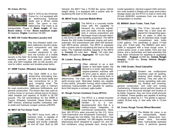#### **55. Crane, 20-Ton**



Built in 1970 by the American Crane Co, it is equipped with an earthmoving bulldozer blade and a 20-ton tackle block. The boom is nontelescoping. The crane is air

transportable, Phase 3. **Boom length:** 30 feet. **Boom radius:** 10 feet. **Boom maximum angle:**  85-degrees. **Engine:** Cummins V8-265.

## **56. M85-100 Trailer-Mounted Laundry Unit**



This four-wheeled trailer contains stationary laundry equipment components and was used with other trailermounted equipment to perform the function of a mobile

laundry in the field. Its tumble dryer, water heater, washing machine, and extractor provide troop units and field hospitals with on-site laundry service for cotton, woolen and durable-press items.

#### **57. 290M Tractor, Wheeled, Industrial, Scraper**



The Clark 290M is a fourwheel-drive articulating tractor with a tilt dozer blade and rear connections for a 20 yard scraping bowl. The 290M was used in Vietnam

for road construction, defensive fortifications, and general construction. The tractor also was used as a prime mover or recovery vehicle due to its heavy rated drawbar pull capacity of 34,650 to 38,150 pounds. The full nomenclature for the 290M is Tractor, Wheeled, Industrial: Diesel Driven: Med DBP: w/dozer, w/backup scarifier, w/drawbar, trailer pintle and hydraulic scraper controls w/ROPS.

## **58. M917 20-Ton Dump Truck**



The M917 dump truck, with a hydraulic hoist, is capable of hauling 12-cubic yards of aggregate and similar materials on and off road. Built by AM

General, the M917 has a 75,000 lbs. gross vehicle weight rating. It is equipped with a pusher axle for equalizing the load on the rear axles.

## **59. M919 Truck, Concrete Mobile Mixer**



The M919 is a concrete mobile mixer with the capability to transport dry concrete ingredients and water, mix the ingredients in various proportions and discharge mixed concrete direct-

ly into forms or other handling equipment. The M919 shares the 400 brake horsepower engine and semiautomatic 16/2 transmission with other AM Generalbuilt M915-series vehicles. The M919 is equipped with a pusher axle for equalizing the load on the rear axles. The materials-handling capacity of the M919 is: **Cement:** 63 cubic feet. **Sand:** 130 cubic feet. **Water:** 400 gallons. **Aggregate:** 187 cubic feet.

#### **60. Loader, Scoop, (Bobcat)**



Often referred to as a skid loader or skid-steer loader, the Bobcat is a small, rigid framed, engine-powered machine with lift arms used to attach a wide variety of labor-saving tools or

attachments. The main use is for excavating and earth-moving work. Skid-steer loaders are capable of zero-radius, "pirouette" turning, which makes them extremely maneuverable and valuable for applications that require a compact, agile loader.

## **61. Rough-Terrain Container Crane (RTCC)**



The RTCC is a wheel-mounted crane that serves as a container handler. It is a nondevelopmental item that is a military-unique integration of commercial components. More

than 300 RTCCs were procured by the U.S. Army Tank-Automotive and Armaments Command from 1987 through the mid-2000s. The 40-ton RTCC has a hydraulically operated, full 360-degree revolving, telescoping boom designed to support 20- and 40 foot containers, using spreader bars, during inter-

modal operations. General support (GS) ammunition units located in theater and corps ammunition storage areas use the RTCC to load or trans-ship 20-foot ANSI/ISO containers from one mode of transportation to another.

#### **62. M969A1 Semi-Trailer, Tank, Fuel**



This 12-ton, two-axle semitrailer has a tank body designed for transporting gasoline, oil, water, or other liquid. Its stainless-steel, single -compartment tank holds

5,000 gallons. The semitrailer is about 31-feet long, and 8-feet wide. The M969A1 tank semitrailer is equipped with a hose trough cover, a control panel cover, a rear ladder, front and rear drains, and a tachometer and lead assembly that have been introduced for repairing or upgrading the M969. **Payload:** 33,950 lbs. **Vehicle Weight (empty):** 15,000 lbs. **Gross Vehicle Weight:** 48,950 lbs.

## **63. 130G Grader, Road Caterpillar**



Graders are multipurpose machines used for grading, shaping, bank sloping, and ditching. They are used for mixing, spreading, side casting, leveling and crowning,

general construction, and road and runway maintenance. Graders cannot perform dozer work because of the structural strength and location of its blade. However, they can move small amounts of material. These graders are capable of working on slopes as steep as 3:1. The grader is approximately 28-feet long, 8- feet wide with a 12-foot blade.

## **64. Crane, Rough Terrain Wheel Mounted**



The Mobile Air crane, is an air transportable, dieselpowered, rubber-tired, fourwheel drive, four-wheel steer, hydraulically operated crane. It performs general